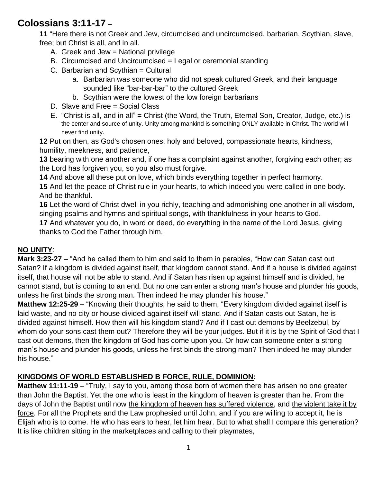## **Colossians 3:11-17** –

**11** "Here there is not Greek and Jew, circumcised and uncircumcised, barbarian, Scythian, slave, free; but Christ is all, and in all.

- A. Greek and Jew = National privilege
- B. Circumcised and Uncircumcised = Legal or ceremonial standing
- C. Barbarian and Scythian = Cultural
	- a. Barbarian was someone who did not speak cultured Greek, and their language sounded like "bar-bar-bar" to the cultured Greek
	- b. Scythian were the lowest of the low foreign barbarians
- D. Slave and Free = Social Class
- E. "Christ is all, and in all" = Christ (the Word, the Truth, Eternal Son, Creator, Judge, etc.) is the center and source of unity. Unity among mankind is something ONLY available in Christ. The world will never find unity.

**12** Put on then, as God's chosen ones, holy and beloved, compassionate hearts, kindness, humility, meekness, and patience,

**13** bearing with one another and, if one has a complaint against another, forgiving each other; as the Lord has forgiven you, so you also must forgive.

**14** And above all these put on love, which binds everything together in perfect harmony.

**15** And let the peace of Christ rule in your hearts, to which indeed you were called in one body. And be thankful.

**16** Let the word of Christ dwell in you richly, teaching and admonishing one another in all wisdom, singing psalms and hymns and spiritual songs, with thankfulness in your hearts to God.

**17** And whatever you do, in word or deed, do everything in the name of the Lord Jesus, giving thanks to God the Father through him.

## **NO UNITY**:

**Mark 3:23-27** – "And he called them to him and said to them in parables, "How can Satan cast out Satan? If a kingdom is divided against itself, that kingdom cannot stand. And if a house is divided against itself, that house will not be able to stand. And if Satan has risen up against himself and is divided, he cannot stand, but is coming to an end. But no one can enter a strong man's house and plunder his goods, unless he first binds the strong man. Then indeed he may plunder his house."

**Matthew 12:25-29** – "Knowing their thoughts, he said to them, "Every kingdom divided against itself is laid waste, and no city or house divided against itself will stand. And if Satan casts out Satan, he is divided against himself. How then will his kingdom stand? And if I cast out demons by Beelzebul, by whom do your sons cast them out? Therefore they will be your judges. But if it is by the Spirit of God that I cast out demons, then the kingdom of God has come upon you. Or how can someone enter a strong man's house and plunder his goods, unless he first binds the strong man? Then indeed he may plunder his house."

## **KINGDOMS OF WORLD ESTABLISHED B FORCE, RULE, DOMINION:**

**Matthew 11:11-19** – "Truly, I say to you, among those born of women there has arisen no one greater than John the Baptist. Yet the one who is least in the kingdom of heaven is greater than he. From the days of John the Baptist until now the kingdom of heaven has suffered violence, and the violent take it by force. For all the Prophets and the Law prophesied until John, and if you are willing to accept it, he is Elijah who is to come. He who has ears to hear, let him hear. But to what shall I compare this generation? It is like children sitting in the marketplaces and calling to their playmates,